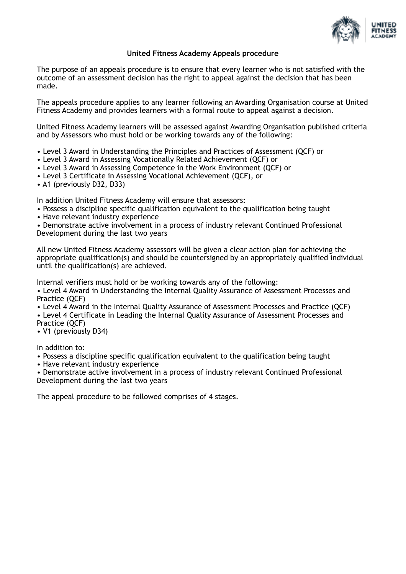

## **United Fitness Academy Appeals procedure**

The purpose of an appeals procedure is to ensure that every learner who is not satisfied with the outcome of an assessment decision has the right to appeal against the decision that has been made.

The appeals procedure applies to any learner following an Awarding Organisation course at United Fitness Academy and provides learners with a formal route to appeal against a decision.

United Fitness Academy learners will be assessed against Awarding Organisation published criteria and by Assessors who must hold or be working towards any of the following:

- Level 3 Award in Understanding the Principles and Practices of Assessment (QCF) or
- Level 3 Award in Assessing Vocationally Related Achievement (QCF) or
- Level 3 Award in Assessing Competence in the Work Environment (QCF) or
- Level 3 Certificate in Assessing Vocational Achievement (QCF), or
- A1 (previously D32, D33)

In addition United Fitness Academy will ensure that assessors:

- Possess a discipline specific qualification equivalent to the qualification being taught
- Have relevant industry experience

• Demonstrate active involvement in a process of industry relevant Continued Professional Development during the last two years

All new United Fitness Academy assessors will be given a clear action plan for achieving the appropriate qualification(s) and should be countersigned by an appropriately qualified individual until the qualification(s) are achieved.

Internal verifiers must hold or be working towards any of the following:

• Level 4 Award in Understanding the Internal Quality Assurance of Assessment Processes and Practice (QCF)

• Level 4 Award in the Internal Quality Assurance of Assessment Processes and Practice (QCF)

• Level 4 Certificate in Leading the Internal Quality Assurance of Assessment Processes and

Practice (QCF) • V1 (previously D34)

In addition to:

• Possess a discipline specific qualification equivalent to the qualification being taught

• Have relevant industry experience

• Demonstrate active involvement in a process of industry relevant Continued Professional Development during the last two years

The appeal procedure to be followed comprises of 4 stages.